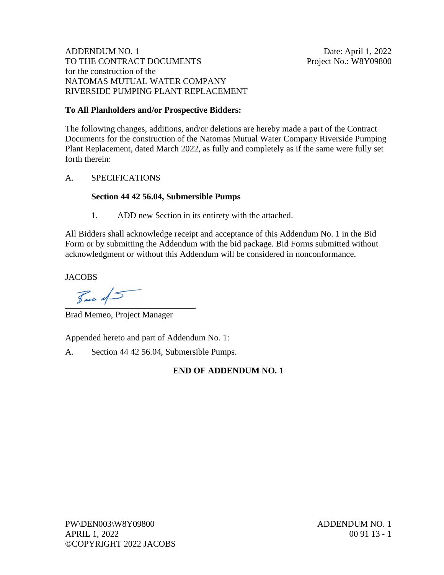ADDENDUM NO. 1 Date: April 1, 2022 TO THE CONTRACT DOCUMENTS Project No.: W8Y09800 for the construction of the NATOMAS MUTUAL WATER COMPANY RIVERSIDE PUMPING PLANT REPLACEMENT

# **To All Planholders and/or Prospective Bidders:**

The following changes, additions, and/or deletions are hereby made a part of the Contract Documents for the construction of the Natomas Mutual Water Company Riverside Pumping Plant Replacement, dated March 2022, as fully and completely as if the same were fully set forth therein:

# A. SPECIFICATIONS

### **Section 44 42 56.04, Submersible Pumps**

1. ADD new Section in its entirety with the attached.

All Bidders shall acknowledge receipt and acceptance of this Addendum No. 1 in the Bid Form or by submitting the Addendum with the bid package. Bid Forms submitted without acknowledgment or without this Addendum will be considered in nonconformance.

**JACOBS** 

 $\mathcal{F}_{\text{max}}$  of  $\mathcal{F}$ 

Brad Memeo, Project Manager

Appended hereto and part of Addendum No. 1:

A. Section 44 42 56.04, Submersible Pumps.

# **END OF ADDENDUM NO. 1**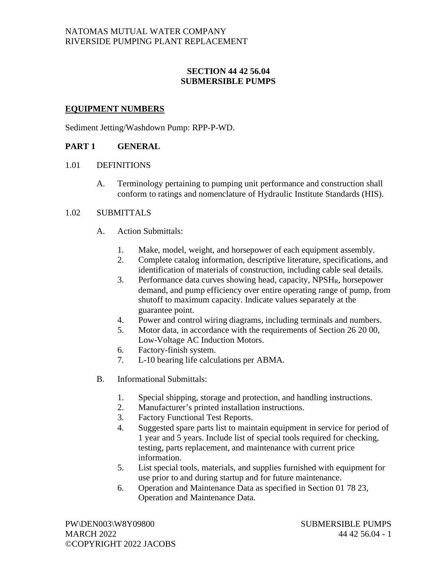# **SECTION 44 42 56.04 SUBMERSIBLE PUMPS**

## **EQUIPMENT NUMBERS**

Sediment Jetting/Washdown Pump: RPP-P-WD.

# **PART 1 GENERAL**

### 1.01 DEFINITIONS

A. Terminology pertaining to pumping unit performance and construction shall conform to ratings and nomenclature of Hydraulic Institute Standards (HIS).

### 1.02 SUBMITTALS

- A. Action Submittals:
	- 1. Make, model, weight, and horsepower of each equipment assembly.
	- 2. Complete catalog information, descriptive literature, specifications, and identification of materials of construction, including cable seal details.
	- 3. Performance data curves showing head, capacity, NPSHR, horsepower demand, and pump efficiency over entire operating range of pump, from shutoff to maximum capacity. Indicate values separately at the guarantee point.
	- 4. Power and control wiring diagrams, including terminals and numbers.
	- 5. Motor data, in accordance with the requirements of Section 26 20 00, Low-Voltage AC Induction Motors.
	- 6. Factory-finish system.
	- 7. L-10 bearing life calculations per ABMA.
- B. Informational Submittals:
	- 1. Special shipping, storage and protection, and handling instructions.
	- 2. Manufacturer's printed installation instructions.
	- 3. Factory Functional Test Reports.
	- 4. Suggested spare parts list to maintain equipment in service for period of 1 year and 5 years. Include list of special tools required for checking, testing, parts replacement, and maintenance with current price information.
	- 5. List special tools, materials, and supplies furnished with equipment for use prior to and during startup and for future maintenance.
	- 6. Operation and Maintenance Data as specified in Section 01 78 23, Operation and Maintenance Data.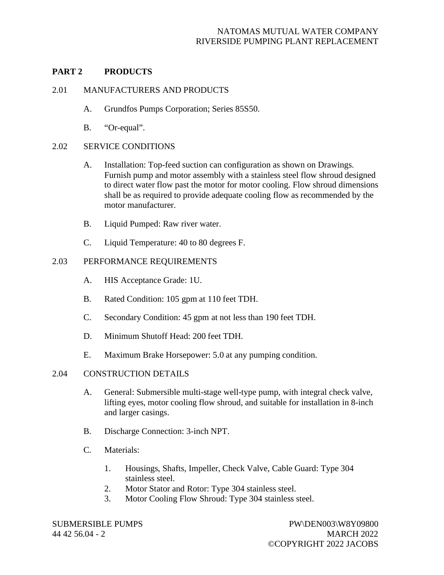## NATOMAS MUTUAL WATER COMPANY RIVERSIDE PUMPING PLANT REPLACEMENT

## **PART 2 PRODUCTS**

### 2.01 MANUFACTURERS AND PRODUCTS

- A. Grundfos Pumps Corporation; Series 85S50.
- B. "Or-equal".

#### 2.02 SERVICE CONDITIONS

- A. Installation: Top-feed suction can configuration as shown on Drawings. Furnish pump and motor assembly with a stainless steel flow shroud designed to direct water flow past the motor for motor cooling. Flow shroud dimensions shall be as required to provide adequate cooling flow as recommended by the motor manufacturer.
- B. Liquid Pumped: Raw river water.
- C. Liquid Temperature: 40 to 80 degrees F.

#### 2.03 PERFORMANCE REQUIREMENTS

- A. HIS Acceptance Grade: 1U.
- B. Rated Condition: 105 gpm at 110 feet TDH.
- C. Secondary Condition: 45 gpm at not less than 190 feet TDH.
- D. Minimum Shutoff Head: 200 feet TDH.
- E. Maximum Brake Horsepower: 5.0 at any pumping condition.

#### 2.04 CONSTRUCTION DETAILS

- A. General: Submersible multi-stage well-type pump, with integral check valve, lifting eyes, motor cooling flow shroud, and suitable for installation in 8-inch and larger casings.
- B. Discharge Connection: 3-inch NPT.
- C. Materials:
	- 1. Housings, Shafts, Impeller, Check Valve, Cable Guard: Type 304 stainless steel.
	- 2. Motor Stator and Rotor: Type 304 stainless steel.
	- 3. Motor Cooling Flow Shroud: Type 304 stainless steel.